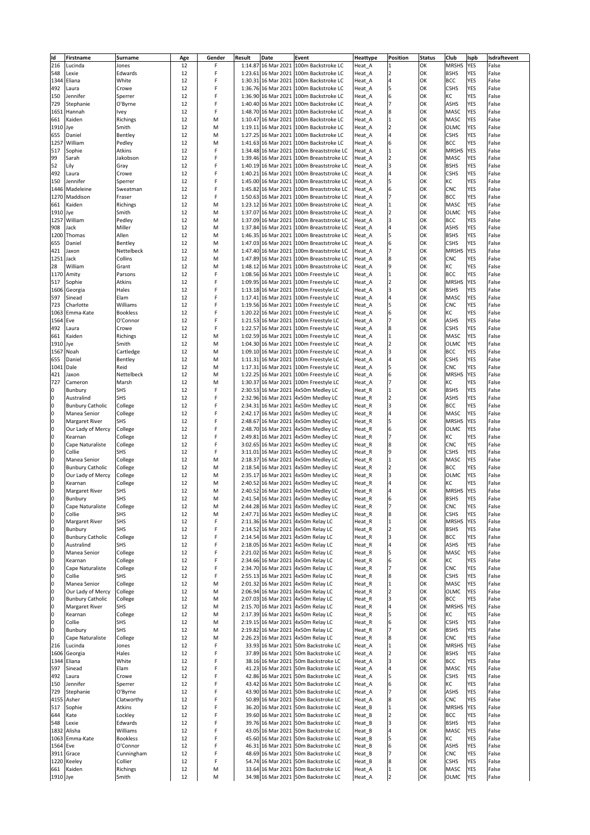| ld        | Firstname               | <b>Surname</b>  | Age      | Gender | Result | <b>Date</b> | Event                                                                             | <b>Heattype</b>             | <b>Position</b> | <b>Status</b> | <b>Club</b>  | <b>Ispb</b> | Isdraftevent |
|-----------|-------------------------|-----------------|----------|--------|--------|-------------|-----------------------------------------------------------------------------------|-----------------------------|-----------------|---------------|--------------|-------------|--------------|
| 216       | Lucinda                 | Jones           | 12       |        |        |             | 1:14.87 16 Mar 2021 100m Backstroke LC                                            | Heat <sub>A</sub>           |                 | OK            | <b>MRSHS</b> | <b>YES</b>  | False        |
| 548       | Lexie                   | Edwards         | 12       |        |        |             | 1:23.61 16 Mar 2021 100m Backstroke LC                                            | Heat <sub>A</sub>           |                 | OK            | <b>BSHS</b>  | <b>YES</b>  | False        |
| 1344      | Eliana                  | White           | 12       |        |        |             | 1:30.31 16 Mar 2021 100m Backstroke LC                                            | Heat <sub>A</sub>           |                 | OK            | <b>BCC</b>   | <b>YES</b>  | False        |
| 492       | Laura                   | Crowe           | 12       |        |        |             | 1:36.76 16 Mar 2021 100m Backstroke LC                                            | Heat <sub>A</sub>           |                 | OK            | <b>CSHS</b>  | <b>YES</b>  | False        |
| 150       | Jennifer                | Sperrer         | 12       |        |        |             | 1:36.90 16 Mar 2021 100m Backstroke LC                                            | Heat <sub>A</sub>           |                 | OK            | KC           | <b>YES</b>  | False        |
| 729       | Stephanie               | O'Byrne         | 12       |        |        |             | 1:40.40 16 Mar 2021 100m Backstroke LC                                            | Heat <sub>A</sub>           |                 | OK            | <b>ASHS</b>  | <b>YES</b>  | False        |
|           | 1651 Hannah             | <b>Ivey</b>     | 12       | F      |        |             | 1:48.70 16 Mar 2021 100m Backstroke LC                                            | Heat <sub>A</sub>           |                 | OK            | <b>MASC</b>  | <b>YES</b>  | False        |
| 661       | Kaiden                  | Richings        | 12       | M      |        |             | 1:10.47 16 Mar 2021 100m Backstroke LC                                            | Heat <sub>A</sub>           |                 | OK            | <b>MASC</b>  | <b>YES</b>  | False        |
| 1910 Jye  |                         | Smith           |          |        |        |             | 1:19.11 16 Mar 2021 100m Backstroke LC                                            |                             |                 | OK            | <b>OLMC</b>  | <b>YES</b>  | False        |
|           |                         |                 | 12       | M      |        |             |                                                                                   | Heat <sub>A</sub>           |                 |               |              |             | False        |
| 655       | Daniel                  | Bentley         | 12       | M      |        |             | 1:27.25 16 Mar 2021 100m Backstroke LC                                            | Heat <sub>A</sub>           |                 | OK            | <b>CSHS</b>  | <b>YES</b>  |              |
| 1257      | William                 | Pedley          | 12       | M      |        |             | 1:41.63 16 Mar 2021 100m Backstroke LC                                            | Heat <sub>A</sub>           |                 | OK            | <b>BCC</b>   | <b>YES</b>  | False        |
| 517       | Sophie                  | <b>Atkins</b>   | 12       |        |        |             | 1:34.48 16 Mar 2021   100m Breaststroke LC                                        | Heat A                      |                 | OK            | MRSHS YES    |             | False        |
| 99        | Sarah                   | Jakobson        | 12       |        |        |             | 1:39.46 16 Mar 2021 100m Breaststroke LC                                          | Heat <sub>A</sub>           |                 | OK            | <b>MASC</b>  | <b>YES</b>  | False        |
| 52        | Lily                    | Gray            | 12       |        |        |             | 1:40.19 16 Mar 2021 100m Breaststroke LC                                          | Heat A                      |                 | OK            | <b>BSHS</b>  | <b>YES</b>  | False        |
| 492       | Laura                   | Crowe           | 12       |        |        |             | 1:40.21 16 Mar 2021 100m Breaststroke LC                                          | Heat A                      |                 | OK            | <b>CSHS</b>  | <b>YES</b>  | False        |
| 150       | Jennifer                | Sperrer         | 12       |        |        |             | 1:45.00 16 Mar 2021 100m Breaststroke LC                                          | Heat <sub>A</sub>           |                 | OK            | KC           | <b>YES</b>  | False        |
|           | 1446 Madeleine          | Sweatman        | 12       |        |        |             | 1:45.82 16 Mar 2021 100m Breaststroke LC                                          | Heat A                      |                 | OK            | <b>CNC</b>   | <b>YES</b>  | False        |
|           | 1270 Maddison           | Fraser          | 12       | F      |        |             | 1:50.63 16 Mar 2021 100m Breaststroke LC                                          | Heat <sub>A</sub>           |                 | OK            | <b>BCC</b>   | <b>YES</b>  | False        |
| 661       | Kaiden                  | <b>Richings</b> | 12       | M      |        |             | 1:23.12 16 Mar 2021 100m Breaststroke LC                                          | Heat A                      |                 | OK            | <b>MASC</b>  | <b>YES</b>  | False        |
| 1910 Jye  |                         | Smith           | 12       | M      |        |             | 1:37.07 16 Mar 2021 100m Breaststroke LC                                          | Heat A                      |                 | OK            | <b>OLMC</b>  | <b>YES</b>  | False        |
|           | 1257 William            | Pedley          | 12       | M      |        |             | 1:37.09 16 Mar 2021 100m Breaststroke LC                                          | Heat <sub>A</sub>           |                 | OK            | <b>BCC</b>   | <b>YES</b>  | False        |
| 908       | Jack                    | Miller          | 12       | M      |        |             | 1:37.84 16 Mar 2021 100m Breaststroke LC                                          | Heat A                      |                 | OK            | <b>ASHS</b>  | <b>YES</b>  | False        |
|           | 1200 Thomas             | Allen           | 12       | M      |        |             | 1:46.35 16 Mar 2021 100m Breaststroke LC                                          | Heat A                      |                 | OK            | <b>BSHS</b>  | <b>YES</b>  | False        |
| 655       | Daniel                  | Bentley         | 12       | M      |        |             | 1:47.03 16 Mar 2021 100m Breaststroke LC                                          | Heat A                      |                 | OK            | <b>CSHS</b>  | <b>YES</b>  | False        |
| 421       | Jaxon                   | Nettelbeck      | 12       | M      |        |             | 1:47.40 16 Mar 2021 100m Breaststroke LC                                          | Heat A                      |                 | OK            | MRSHS YES    |             | False        |
| 1251 Jack |                         | Collins         | 12       | M      |        |             | 1:47.89 16 Mar 2021 100m Breaststroke LC                                          | Heat <sub>A</sub>           |                 | OK            | <b>CNC</b>   | <b>YES</b>  | False        |
| 28        | William                 | Grant           |          |        |        |             |                                                                                   |                             |                 | OK            | KC           | <b>YES</b>  | False        |
|           | 1170 Amity              | Parsons         | 12<br>12 | M      |        |             | 1:48.12 16 Mar 2021 100m Breaststroke LC<br>1:08.56 16 Mar 2021 100m Freestyle LC | Heat A<br>Heat <sub>A</sub> |                 | OK            | <b>BCC</b>   | <b>YES</b>  | False        |
|           |                         |                 |          |        |        |             |                                                                                   |                             |                 |               | MRSHS YES    |             |              |
| 517       | Sophie                  | <b>Atkins</b>   | 12       |        |        |             | 1:09.95 16 Mar 2021 100m Freestyle LC                                             | Heat <sub>A</sub>           |                 | OK            |              |             | False        |
|           | 1606 Georgia            | <b>Hales</b>    | 12       |        |        |             | 1:13.18 16 Mar 2021 100m Freestyle LC                                             | Heat A                      |                 | OK            | <b>BSHS</b>  | <b>YES</b>  | False        |
| 597       | Sinead                  | Elam            | 12       |        |        |             | 1:17.41 16 Mar 2021 100m Freestyle LC                                             | Heat <sub>A</sub>           |                 | OK            | <b>MASC</b>  | <b>YES</b>  | False        |
| 723       | Charlotte               | Williams        | 12       |        |        |             | 1:19.56 16 Mar 2021 100m Freestyle LC                                             | Heat A                      |                 | OK            | <b>CNC</b>   | <b>YES</b>  | False        |
|           | 1063 Emma-Kate          | <b>Bookless</b> | 12       |        |        |             | 1:20.22 16 Mar 2021 100m Freestyle LC                                             | Heat <sub>A</sub>           | 16              | OK            | KC           | <b>YES</b>  | False        |
| 1564 Eve  |                         | O'Connor        | 12       |        |        |             | 1:21.53 16 Mar 2021 100m Freestyle LC                                             | Heat <sub>A</sub>           |                 | OK            | <b>ASHS</b>  | <b>YES</b>  | False        |
| 492       | Laura                   | Crowe           | 12       |        |        |             | 1:22.57 16 Mar 2021 100m Freestyle LC                                             | Heat <sub>A</sub>           |                 | OK            | <b>CSHS</b>  | <b>YES</b>  | False        |
| 661       | Kaiden                  | <b>Richings</b> | 12       | M      |        |             | 1:02.59 16 Mar 2021 100m Freestyle LC                                             | Heat <sub>A</sub>           |                 | OK            | <b>MASC</b>  | <b>YES</b>  | False        |
| 1910 Jye  |                         | Smith           | 12       | M      |        |             | 1:04.30 16 Mar 2021 100m Freestyle LC                                             | Heat <sub>A</sub>           |                 | OK            | <b>OLMC</b>  | <b>YES</b>  | False        |
|           | 1567 Noah               | Cartledge       | 12       | M      |        |             | 1:09.10 16 Mar 2021 100m Freestyle LC                                             | Heat <sub>A</sub>           |                 | OK            | <b>BCC</b>   | <b>YES</b>  | False        |
| 655       | Daniel                  | Bentley         | 12       | M      |        |             | 1:11.31 16 Mar 2021 100m Freestyle LC                                             | Heat A                      |                 | OK            | <b>CSHS</b>  | <b>YES</b>  | False        |
| 1041 Dale |                         | Reid            | 12       | M      |        |             | 1:17.31 16 Mar 2021 100m Freestyle LC                                             | Heat <sub>A</sub>           |                 | OK            | <b>CNC</b>   | <b>YES</b>  | False        |
| 421       | Jaxon                   | Nettelbeck      | 12       | M      |        |             | 1:22.25 16 Mar 2021 100m Freestyle LC                                             | Heat <sub>A</sub>           |                 | OK            | MRSHS YES    |             | False        |
| 727       | Cameron                 | Marsh           | 12       | M      |        |             | 1:30.37 16 Mar 2021 100m Freestyle LC                                             | Heat A                      |                 | OK            | KC           | <b>YES</b>  | False        |
| 10        | <b>Bunbury</b>          | <b>SHS</b>      | 12       |        |        |             | 2:30.53 16 Mar 2021 4x50m Medley LC                                               | Heat <sub>R</sub>           |                 | OK            | <b>BSHS</b>  | <b>YES</b>  | False        |
| 0         | Australind              | <b>SHS</b>      | 12       |        |        |             | 2:32.96 16 Mar 2021 4x50m Medley LC                                               | Heat <sub>R</sub>           |                 | OK            | <b>ASHS</b>  | <b>YES</b>  | False        |
| 10        | <b>Bunbury Catholic</b> | College         | 12       |        |        |             | 2:34.31 16 Mar 2021 4x50m Medley LC                                               | Heat <sub>R</sub>           |                 | OK            | <b>BCC</b>   | <b>YES</b>  | False        |
|           | Manea Senior            |                 |          |        |        |             | 2:42.17 16 Mar 2021 4x50m Medley LC                                               |                             |                 | OK            | <b>MASC</b>  | <b>YES</b>  | False        |
| 10        |                         | College         | 12       |        |        |             |                                                                                   | Heat <sub>R</sub>           |                 |               |              |             |              |
| 10        | <b>Margaret River</b>   | <b>SHS</b>      | 12       |        |        |             | 2:48.67 16 Mar 2021 4x50m Medley LC                                               | Heat <sub>R</sub>           |                 | OK            | MRSHS YES    |             | False        |
| 0         | Our Lady of Mercy       | College         | 12       |        |        |             | 2:48.70 16 Mar 2021 4x50m Medley LC                                               | Heat <sub>R</sub>           |                 | OK            | <b>OLMC</b>  | <b>YES</b>  | False        |
| 0         | Kearnan                 | College         | 12       |        |        |             | 2:49.81 16 Mar 2021 4x50m Medley LC                                               | Heat <sub>R</sub>           |                 | OK            | KC           | <b>YES</b>  | False        |
| 10        | Cape Naturaliste        | College         | 12       |        |        |             | 3:02.65 16 Mar 2021 4x50m Medley LC                                               | Heat <sub>R</sub>           |                 | OK            | <b>CNC</b>   | <b>YES</b>  | False        |
| 10        | Collie                  | <b>SHS</b>      | 12       | F      |        |             | 3:11.01 16 Mar 2021 4x50m Medley LC                                               | Heat <sub>R</sub>           |                 | OK            | <b>CSHS</b>  | <b>YES</b>  | False        |
| 10        | Manea Senior            | College         | 12       | M      |        |             | 2:18.37 16 Mar 2021 4x50m Medley LC                                               | Heat <sub>R</sub>           |                 | OK            | <b>MASC</b>  | <b>YES</b>  | False        |
| 10        | <b>Bunbury Catholic</b> | College         | 12       | M      |        |             | 2:18.54 16 Mar 2021 4x50m Medley LC                                               | Heat <sub>R</sub>           |                 | OK            | <b>BCC</b>   | <b>YES</b>  | False        |
| 0         | Our Lady of Mercy       | College         | 12       | M      |        |             | 2:35.17 16 Mar 2021 4x50m Medley LC                                               | Heat <sub>R</sub>           |                 | OK            | <b>OLMC</b>  | <b>YES</b>  | False        |
| 10        | Kearnan                 | College         | 12       | M      |        |             | 2:40.52 16 Mar 2021 4x50m Medley LC                                               | Heat <sub>R</sub>           |                 | OK            | KC           | <b>YES</b>  | False        |
| 10        | <b>Margaret River</b>   | <b>SHS</b>      | 12       | M      |        |             | 2:40.52 16 Mar 2021 4x50m Medley LC                                               | Heat <sub>R</sub>           |                 | OK            | MRSHS YES    |             | False        |
| 10        | Bunbury                 | <b>SHS</b>      | 12       | M      |        |             | 2:41.54 16 Mar 2021 4x50m Medley LC                                               | Heat <sub>R</sub>           | 16              | OK            | <b>BSHS</b>  | <b>YES</b>  | False        |
| 10        | Cape Naturaliste        | College         | 12       | M      |        |             | 2:44.28 16 Mar 2021 4x50m Medley LC                                               | Heat R                      |                 | OK            | <b>CNC</b>   | <b>YES</b>  | False        |
| 0         | Collie                  | SHS             | 12       | M      |        |             | 2:47.71 16 Mar 2021 4x50m Medley LC                                               | Heat <sub>R</sub>           |                 | OK            | <b>CSHS</b>  | <b>YES</b>  | False        |
| 10        | <b>Margaret River</b>   | <b>SHS</b>      | 12       |        |        |             | 2:11.36 16 Mar 2021 4x50m Relay LC                                                | Heat <sub>R</sub>           |                 | OK            | MRSHS YES    |             | False        |
| 10        | Bunbury                 | <b>SHS</b>      | 12       | F      |        |             | 2:14.52 16 Mar 2021 4x50m Relay LC                                                | Heat_R                      |                 | OK            | <b>BSHS</b>  | <b>YES</b>  | False        |
| 10        | <b>Bunbury Catholic</b> | College         | 12       |        |        |             | 2:14.54 16 Mar 2021 4x50m Relay LC                                                | Heat_R                      |                 | OK            | <b>BCC</b>   | <b>YES</b>  | False        |
| 10        | Australind              | <b>SHS</b>      | 12       |        |        |             | 2:18.05 16 Mar 2021 4x50m Relay LC                                                | Heat <sub>R</sub>           |                 | OK            | <b>ASHS</b>  | <b>YES</b>  | False        |
| 10        | Manea Senior            | College         | 12       |        |        |             | 2:21.02 16 Mar 2021 4x50m Relay LC                                                | Heat <sub>R</sub>           |                 | OK            | <b>MASC</b>  | <b>YES</b>  | False        |
| 10        | Kearnan                 | College         | 12       |        |        |             | 2:34.66 16 Mar 2021 4x50m Relay LC                                                | Heat <sub>R</sub>           |                 | OK            | KC           | <b>YES</b>  | False        |
| 10        | Cape Naturaliste        | College         | 12       |        |        |             | 2:34.70 16 Mar 2021 4x50m Relay LC                                                | Heat <sub>R</sub>           |                 | OK            | <b>CNC</b>   | <b>YES</b>  | False        |
|           |                         | <b>SHS</b>      |          |        |        |             |                                                                                   |                             |                 | OK            | <b>CSHS</b>  | <b>YES</b>  |              |
| 10        | Collie                  |                 | 12       |        |        |             | 2:55.13 16 Mar 2021 4x50m Relay LC                                                | Heat <sub>R</sub>           |                 |               |              |             | False        |
| 10        | Manea Senior            | College         | 12       | M      |        |             | 2:01.32 16 Mar 2021 4x50m Relay LC                                                | Heat <sub>R</sub>           |                 | <b>OK</b>     | <b>MASC</b>  | <b>YES</b>  | False        |
| 10        | Our Lady of Mercy       | College         | 12       | M      |        |             | 2:06.94 16 Mar 2021 4x50m Relay LC                                                | Heat <sub>R</sub>           |                 | OK            | <b>OLMC</b>  | <b>YES</b>  | False        |
| 10        | <b>Bunbury Catholic</b> | College         | 12       | M      |        |             | 2:07.03 16 Mar 2021 4x50m Relay LC                                                | Heat <sub>R</sub>           |                 | OK            | <b>BCC</b>   | <b>YES</b>  | False        |
| 10        | <b>Margaret River</b>   | <b>SHS</b>      | 12       | M      |        |             | 2:15.70 16 Mar 2021 4x50m Relay LC                                                | Heat <sub>R</sub>           |                 | OK            | MRSHS YES    |             | False        |
| 10        | Kearnan                 | College         | 12       | M      |        |             | 2:17.39 16 Mar 2021 4x50m Relay LC                                                | Heat <sub>R</sub>           |                 | OK            | KC           | <b>YES</b>  | False        |
| 10        | Collie                  | <b>SHS</b>      | 12       | M      |        |             | 2:19.15 16 Mar 2021 4x50m Relay LC                                                | Heat <sub>R</sub>           |                 | OK            | <b>CSHS</b>  | <b>YES</b>  | False        |
| 10        | Bunbury                 | <b>SHS</b>      | 12       | M      |        |             | 2:19.82 16 Mar 2021 4x50m Relay LC                                                | Heat <sub>R</sub>           |                 | OK            | <b>BSHS</b>  | <b>YES</b>  | False        |
| 10        | Cape Naturaliste        | College         | 12       | M      |        |             | 2:26.23 16 Mar 2021 4x50m Relay LC                                                | Heat <sub>R</sub>           |                 | OK            | <b>CNC</b>   | <b>YES</b>  | False        |
| 216       | Lucinda                 | Jones           | 12       |        |        |             | 33.93 16 Mar 2021 50m Backstroke LC                                               | Heat A                      |                 | OK            | MRSHS YES    |             | False        |
|           | 1606 Georgia            | <b>Hales</b>    | 12       |        |        |             | 37.89 16 Mar 2021 50m Backstroke LC                                               | Heat <sub>A</sub>           |                 | OK            | <b>BSHS</b>  | <b>YES</b>  | False        |
|           | 1344 Eliana             | White           | 12       |        |        |             | 38.16 16 Mar 2021 50m Backstroke LC                                               | Heat <sub>A</sub>           |                 | OK            | <b>BCC</b>   | <b>YES</b>  | False        |
| 597       | Sinead                  | Elam            | 12       |        |        |             | 41.23 16 Mar 2021 50m Backstroke LC                                               | Heat <sub>A</sub>           |                 | OK            | <b>MASC</b>  | <b>YES</b>  | False        |
| 492       | Laura                   | Crowe           | 12       |        |        |             | 42.86 16 Mar 2021 50m Backstroke LC                                               | Heat <sub>A</sub>           |                 | OK            | <b>CSHS</b>  | <b>YES</b>  | False        |
| 150       | Jennifer                | Sperrer         | 12       |        |        |             | 43.42 16 Mar 2021 50m Backstroke LC                                               | Heat <sub>A</sub>           |                 | OK            | KC           | <b>YES</b>  | False        |
| 729       | Stephanie               | O'Byrne         | 12       |        |        |             | 43.90 16 Mar 2021 50m Backstroke LC                                               | Heat <sub>A</sub>           |                 | OK            | <b>ASHS</b>  | <b>YES</b>  | False        |
|           | 4155 Asher              | Clatworthy      | 12       |        |        |             | 50.89 16 Mar 2021 50m Backstroke LC                                               | Heat <sub>A</sub>           |                 | OK            | <b>CNC</b>   | <b>YES</b>  | False        |
| 517       | Sophie                  | Atkins          | 12       |        |        |             | 36.20 16 Mar 2021 50m Backstroke LC                                               | Heat <sub>B</sub>           |                 | OK            | MRSHS YES    |             | False        |
|           |                         |                 |          |        |        |             |                                                                                   |                             |                 |               | <b>BCC</b>   | <b>YES</b>  |              |
| 644       | Kate                    | Lockley         | 12       |        |        |             | 39.60 16 Mar 2021 50m Backstroke LC                                               | Heat <sub>B</sub>           |                 | OK            |              |             | False        |
| 548       | Lexie                   | Edwards         | 12       |        |        |             | 39.76 16 Mar 2021 50m Backstroke LC                                               | Heat_B                      |                 | OK            | <b>BSHS</b>  | <b>YES</b>  | False        |
|           | 1832 Alisha             | Williams        | 12       |        |        |             | 43.05 16 Mar 2021 50m Backstroke LC                                               | Heat <sub>B</sub>           |                 | OK            | <b>MASC</b>  | <b>YES</b>  | False        |
|           | 1063 Emma-Kate          | <b>Bookless</b> | 12       |        |        |             | 45.60 16 Mar 2021 50m Backstroke LC                                               | Heat <sub>B</sub>           |                 | OK            | KC           | <b>YES</b>  | False        |
| 1564 Eve  |                         | O'Connor        | 12       |        |        |             | 46.31 16 Mar 2021 50m Backstroke LC                                               | Heat <sub>B</sub>           |                 | OK            | <b>ASHS</b>  | <b>YES</b>  | False        |
|           | 3911 Grace              | Cunningham      | 12       |        |        |             | 48.69 16 Mar 2021 50m Backstroke LC                                               | Heat <sub>B</sub>           |                 | OK            | <b>CNC</b>   | <b>YES</b>  | False        |
|           | 1220 Keeley             | Collier         | 12       |        |        |             | 54.74 16 Mar 2021 50m Backstroke LC                                               | Heat_B                      |                 | OK            | <b>CSHS</b>  | <b>YES</b>  | False        |
| 661       | Kaiden                  | <b>Richings</b> | 12       | M      |        |             | 33.64 16 Mar 2021 50m Backstroke LC                                               | Heat_A                      |                 | OK            | <b>MASC</b>  | <b>YES</b>  | False        |
| 1910 Jye  |                         | Smith           | 12       | M      |        |             | 34.98 16 Mar 2021 50m Backstroke LC                                               | Heat_A                      | $\vert$ 2       | OK            | OLMC YES     |             | False        |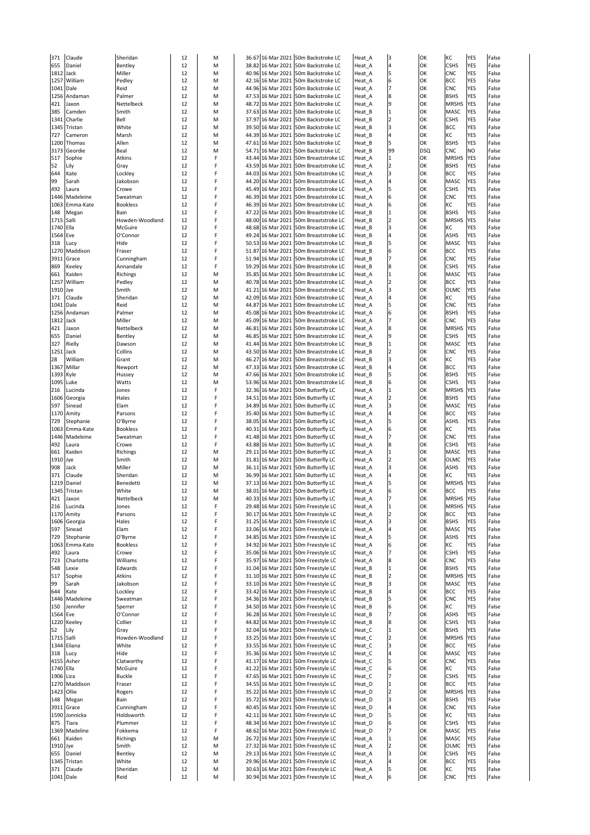| 371        | Claude         | Sheridan        | 12 | M |  | 36.67 16 Mar 2021 50m Backstroke LC   | Heat A            | 3              | OK         | KC           | <b>YES</b> | False |
|------------|----------------|-----------------|----|---|--|---------------------------------------|-------------------|----------------|------------|--------------|------------|-------|
| 655        | Daniel         | Bentley         | 12 | M |  | 38.82 16 Mar 2021 50m Backstroke LC   | Heat <sub>A</sub> | $\overline{4}$ | OK         | <b>CSHS</b>  | <b>YES</b> | False |
| 1812 Jack  |                | Miller          | 12 | M |  | 40.96 16 Mar 2021 50m Backstroke LC   | Heat <sub>A</sub> | 5              | OK         | <b>CNC</b>   | <b>YES</b> | False |
|            | 1257 William   | Pedley          | 12 | M |  | 42.16 16 Mar 2021 50m Backstroke LC   | Heat A            | 6              | OK         | <b>BCC</b>   | <b>YES</b> | False |
| 1041 Dale  |                | Reid            | 12 | M |  | 44.96 16 Mar 2021 50m Backstroke LC   | Heat <sub>A</sub> | 17             | OK         | <b>CNC</b>   | <b>YES</b> | False |
|            | 1256 Andaman   | Palmer          | 12 | M |  | 47.53 16 Mar 2021 50m Backstroke LC   | Heat <sub>A</sub> | 8              | OK         | <b>BSHS</b>  | <b>YES</b> | False |
| 421        | Jaxon          | Nettelbeck      | 12 | M |  | 48.72 16 Mar 2021 50m Backstroke LC   | Heat <sub>A</sub> | 9              | OK         | <b>MRSHS</b> | <b>YES</b> | False |
| 385        | Camden         | Smith           | 12 | M |  | 37.63 16 Mar 2021 50m Backstroke LC   | Heat <sub>B</sub> |                | OK         | <b>MASC</b>  | YES        | False |
|            | 1341 Charlie   | Bell            | 12 | M |  | 37.97 16 Mar 2021 50m Backstroke LC   | Heat B            |                | OK         | <b>CSHS</b>  | <b>YES</b> | False |
|            | 1345 Tristan   | White           | 12 | M |  | 39.50 16 Mar 2021 50m Backstroke LC   | Heat <sub>B</sub> | 3              | OK         | <b>BCC</b>   | <b>YES</b> | False |
| 727        | Cameron        | Marsh           | 12 | M |  | 44.39 16 Mar 2021 50m Backstroke LC   | Heat <sub>B</sub> |                | OK         | KC           | <b>YES</b> | False |
|            | 1200 Thomas    | Allen           | 12 | M |  | 47.61 16 Mar 2021 50m Backstroke LC   | Heat_B            | 5              | OK         | <b>BSHS</b>  | <b>YES</b> | False |
| 3173       | Geordie        | Beal            | 12 | M |  | 54.71 16 Mar 2021 50m Backstroke LC   | Heat <sub>B</sub> | 99             | <b>DSQ</b> | <b>CNC</b>   | <b>NO</b>  | False |
| 517        | Sophie         | <b>Atkins</b>   | 12 |   |  | 43.44 16 Mar 2021 50m Breaststroke LC | Heat A            |                | OK         | <b>MRSHS</b> | <b>YES</b> | False |
| 52         | Lily           | Gray            | 12 |   |  | 43.59 16 Mar 2021 50m Breaststroke LC | Heat <sub>A</sub> | $\overline{2}$ | OK         | <b>BSHS</b>  | <b>YES</b> | False |
| 644        | Kate           | Lockley         | 12 |   |  | 44.03 16 Mar 2021 50m Breaststroke LC | Heat <sub>A</sub> | 3              | OK         | <b>BCC</b>   | <b>YES</b> | False |
| 99         | Sarah          | Jakobson        | 12 |   |  | 44.20 16 Mar 2021 50m Breaststroke LC | Heat <sub>A</sub> |                | OK         | <b>MASC</b>  | <b>YES</b> | False |
| 492        | Laura          | Crowe           | 12 |   |  | 45.49 16 Mar 2021 50m Breaststroke LC | Heat <sub>A</sub> | 5              | OK         | <b>CSHS</b>  | <b>YES</b> | False |
|            | 1446 Madeleine | Sweatman        | 12 |   |  | 46.39 16 Mar 2021 50m Breaststroke LC | Heat <sub>A</sub> | 6              | OK         | <b>CNC</b>   | <b>YES</b> | False |
|            | 1063 Emma-Kate | <b>Bookless</b> | 12 |   |  | 46.39 16 Mar 2021 50m Breaststroke LC | Heat <sub>A</sub> | 6              | OK         | <b>KC</b>    | <b>YES</b> | False |
| 148        | Megan          | Bain            | 12 |   |  | 47.22 16 Mar 2021 50m Breaststroke LC | Heat <sub>B</sub> |                | OK         | <b>BSHS</b>  | <b>YES</b> | False |
| 1715 Salli |                | Howden-Woodland | 12 |   |  | 48.00 16 Mar 2021 50m Breaststroke LC | Heat <sub>B</sub> |                | OK         | <b>MRSHS</b> | <b>YES</b> | False |
| 1740 Ella  |                | <b>McGuire</b>  | 12 |   |  | 48.68 16 Mar 2021 50m Breaststroke LC | Heat <sub>B</sub> | 3              | OK         | KC           | <b>YES</b> | False |
| 1564 Eve   |                | O'Connor        | 12 |   |  | 49.24 16 Mar 2021 50m Breaststroke LC | Heat <sub>B</sub> |                | OK         | <b>ASHS</b>  | <b>YES</b> | False |
| 318        | <b>Lucy</b>    | Hide            | 12 |   |  | 50.53 16 Mar 2021 50m Breaststroke LC | Heat <sub>B</sub> | 5              | OK         | <b>MASC</b>  | <b>YES</b> | False |
|            | 1270 Maddison  | Fraser          | 12 |   |  | 51.87 16 Mar 2021 50m Breaststroke LC | Heat <sub>B</sub> | 6              | OK         | <b>BCC</b>   | <b>YES</b> | False |
|            | 3911 Grace     | Cunningham      | 12 |   |  | 51.94 16 Mar 2021 50m Breaststroke LC | Heat <sub>B</sub> |                | OK         | <b>CNC</b>   | <b>YES</b> | False |
| 869        | Keeley         | Annandale       | 12 |   |  | 59.29 16 Mar 2021 50m Breaststroke LC | Heat <sub>B</sub> | 8              | OK         | <b>CSHS</b>  | <b>YES</b> | False |
| 661        | Kaiden         | <b>Richings</b> | 12 | M |  | 35.85 16 Mar 2021 50m Breaststroke LC | Heat_A            |                | OK         | <b>MASC</b>  | <b>YES</b> | False |
|            | 1257 William   | Pedley          | 12 | M |  | 40.78 16 Mar 2021 50m Breaststroke LC | Heat <sub>A</sub> |                | ЮK         | <b>BCC</b>   | YES        | False |
| 1910 Jye   |                | Smith           | 12 | M |  | 41.21 16 Mar 2021 50m Breaststroke LC | Heat A            | 3              | lok        | <b>OLMC</b>  | <b>YES</b> | False |
| 371        | Claude         | Sheridan        | 12 | M |  | 42.09 16 Mar 2021 50m Breaststroke LC | Heat <sub>A</sub> |                | OK         | KC           | <b>YES</b> | False |
| 1041 Dale  |                | Reid            | 12 | M |  | 44.87 16 Mar 2021 50m Breaststroke LC | Heat <sub>A</sub> | 5              | OK         | <b>CNC</b>   | <b>YES</b> | False |
|            | 1256 Andaman   | Palmer          | 12 | M |  | 45.08 16 Mar 2021 50m Breaststroke LC | Heat <sub>A</sub> | 6              | OK         | <b>BSHS</b>  | <b>YES</b> | False |
| 1812 Jack  |                | Miller          | 12 | M |  | 45.09 16 Mar 2021 50m Breaststroke LC | Heat <sub>A</sub> |                | OK         | <b>CNC</b>   | YES        | False |
| 421        | Jaxon          | Nettelbeck      | 12 | M |  | 46.81 16 Mar 2021 50m Breaststroke LC | Heat <sub>A</sub> | 8              | OK         | <b>MRSHS</b> | <b>YES</b> | False |
| 655        | Daniel         | Bentley         | 12 | M |  | 46.85 16 Mar 2021 50m Breaststroke LC | Heat <sub>A</sub> | 9              | OK         | <b>CSHS</b>  | <b>YES</b> | False |
| 327        | Rielly         | Dawson          | 12 | M |  | 41.44 16 Mar 2021 50m Breaststroke LC | Heat <sub>B</sub> |                | OK         | <b>MASC</b>  | <b>YES</b> | False |
| 1251 Jack  |                | Collins         | 12 | M |  | 43.50 16 Mar 2021 50m Breaststroke LC | Heat_B            |                | OK         | <b>CNC</b>   | <b>YES</b> | False |
| 28         | William        | Grant           | 12 | M |  | 46.27 16 Mar 2021 50m Breaststroke LC | Heat <sub>B</sub> | 3              | OK         | KC           | <b>YES</b> | False |
| 1367       | Millar         | Newport         | 12 | M |  | 47.33 16 Mar 2021 50m Breaststroke LC | Heat <sub>B</sub> |                | OK         | <b>BCC</b>   | <b>YES</b> | False |
| 1393 Kyle  |                | Hussey          | 12 | M |  | 47.66 16 Mar 2021 50m Breaststroke LC | Heat <sub>B</sub> | 5              | OK         | <b>BSHS</b>  | <b>YES</b> | False |
|            | 1095 Luke      | <b>Watts</b>    | 12 | M |  | 53.96 16 Mar 2021 50m Breaststroke LC | Heat <sub>B</sub> | 6              | OK         | <b>CSHS</b>  | <b>YES</b> | False |
| 216        | Lucinda        | Jones           | 12 |   |  | 32.36 16 Mar 2021 50m Butterfly LC    | Heat <sub>A</sub> |                | OK         | <b>MRSHS</b> | <b>YES</b> | False |
|            | 1606 Georgia   | Hales           | 12 |   |  | 34.51 16 Mar 2021 50m Butterfly LC    | Heat A            |                | OK         | <b>BSHS</b>  | <b>YES</b> | False |
| 597        | Sinead         | Elam            | 12 |   |  | 34.89 16 Mar 2021 50m Butterfly LC    | Heat <sub>A</sub> | 3              | OK         | <b>MASC</b>  | <b>YES</b> | False |
|            | 1170 Amity     | Parsons         | 12 |   |  | 35.40 16 Mar 2021 50m Butterfly LC    | Heat <sub>A</sub> | $\overline{4}$ | OK         | <b>BCC</b>   | <b>YES</b> | False |
| 729        | Stephanie      | O'Byrne         | 12 |   |  | 38.05 16 Mar 2021 50m Butterfly LC    | Heat_A            | 5              | OK         | <b>ASHS</b>  | <b>YES</b> | False |
|            | 1063 Emma-Kate | <b>Bookless</b> | 12 |   |  | 40.31 16 Mar 2021 50m Butterfly LC    | Heat <sub>A</sub> | 6              | OK         | KC           | <b>YES</b> | False |
|            | 1446 Madeleine | Sweatman        | 12 |   |  | 41.48 16 Mar 2021 50m Butterfly LC    | Heat A            | 17             | OK         | <b>CNC</b>   | <b>YES</b> | False |
| 492        | Laura          | Crowe           | 12 | F |  | 43.88 16 Mar 2021 50m Butterfly LC    | Heat_A            | 8              | OK         | <b>CSHS</b>  | <b>YES</b> | False |
| 661        | Kaiden         | Richings        | 12 | M |  | 29.11 16 Mar 2021 50m Butterfly LC    | Heat <sub>A</sub> | $\vert$ 1      | OK         | <b>MASC</b>  | <b>YES</b> | False |
| 1910 Jye   |                | Smith           | 12 | M |  | 31.81 16 Mar 2021 50m Butterfly LC    | Heat <sub>A</sub> |                | OK         | <b>OLMC</b>  | <b>YES</b> | False |
| 908        | Jack           | Miller          | 12 | M |  | 36.11 16 Mar 2021 50m Butterfly LC    | Heat <sub>A</sub> | 3              | OK         | ASHS         | <b>YES</b> | False |
| 371        | Claude         | Sheridan        | 12 | M |  | 36.99 16 Mar 2021 50m Butterfly LC    | Heat A            | $\overline{4}$ | OK         | <b>KC</b>    | <b>YES</b> | False |
| 1219       | Daniel         | Benedetti       | 12 | M |  | 37.13 16 Mar 2021 50m Butterfly LC    | Heat <sub>A</sub> | 5              | OK         | <b>MRSHS</b> | <b>YES</b> | False |
| 1345       | Tristan        | White           | 12 | M |  | 38.01 16 Mar 2021 50m Butterfly LC    | Heat <sub>A</sub> | 6              | OK         | <b>BCC</b>   | <b>YES</b> | False |
| 421        | Jaxon          | Nettelbeck      | 12 | M |  | 40.33 16 Mar 2021 50m Butterfly LC    | Heat_A            |                | OK         | <b>MRSHS</b> | <b>YES</b> | False |
| 216        | Lucinda        | Jones           | 12 | F |  | 29.48 16 Mar 2021 50m Freestyle LC    | Heat <sub>A</sub> |                | OK         | <b>MRSHS</b> | <b>YES</b> | False |
|            | 1170 Amity     | Parsons         | 12 |   |  | 30.17 16 Mar 2021 50m Freestyle LC    | Heat A            | $\overline{2}$ | OK         | <b>BCC</b>   | <b>YES</b> | False |
|            | 1606 Georgia   | Hales           | 12 |   |  | 31.25 16 Mar 2021 50m Freestyle LC    | Heat_A            | 3              | lок        | <b>BSHS</b>  | <b>YES</b> | False |
| 597        | Sinead         | Elam            | 12 | F |  | 33.06 16 Mar 2021 50m Freestyle LC    | Heat_A            |                | OK         | <b>MASC</b>  | <b>YES</b> | False |
| 729        | Stephanie      | O'Byrne         | 12 |   |  | 34.85 16 Mar 2021 50m Freestyle LC    | Heat A            | 5              | lок        | <b>ASHS</b>  | <b>YES</b> | False |
|            | 1063 Emma-Kate | <b>Bookless</b> | 12 |   |  | 34.92 16 Mar 2021 50m Freestyle LC    | Heat <sub>A</sub> | 6              | OK         | KC           | <b>YES</b> | False |
| 492        | Laura          | Crowe           | 12 |   |  | 35.06 16 Mar 2021 50m Freestyle LC    | Heat <sub>A</sub> |                | OK         | <b>CSHS</b>  | <b>YES</b> | False |
| 723        | Charlotte      | Williams        | 12 |   |  | 35.97 16 Mar 2021 50m Freestyle LC    | Heat <sub>A</sub> | 8              | OK         | <b>CNC</b>   | <b>YES</b> | False |
| 548        | Lexie          | Edwards         | 12 |   |  | 31.04 16 Mar 2021 50m Freestyle LC    | Heat <sub>B</sub> |                | OK         | <b>BSHS</b>  | <b>YES</b> | False |
| 517        | Sophie         | <b>Atkins</b>   | 12 |   |  | 31.10 16 Mar 2021 50m Freestyle LC    | Heat <sub>B</sub> |                | OK         | <b>MRSHS</b> | <b>YES</b> | False |
| 99         | Sarah          | Jakobson        | 12 |   |  | 33.10 16 Mar 2021 50m Freestyle LC    | Heat_B            | 3              | OK         | <b>MASC</b>  | <b>YES</b> | False |
| 644        | Kate           | Lockley         | 12 |   |  | 33.42 16 Mar 2021 50m Freestyle LC    | Heat <sub>B</sub> |                | OK         | <b>BCC</b>   | <b>YES</b> | False |
|            | 1446 Madeleine | Sweatman        | 12 |   |  | 34.36 16 Mar 2021 50m Freestyle LC    | Heat_B            | 5              | OK         | <b>CNC</b>   | <b>YES</b> | False |
| 150        | Jennifer       | Sperrer         | 12 |   |  | 34.50 16 Mar 2021 50m Freestyle LC    | Heat <sub>B</sub> | 6              | OK         | KC           | <b>YES</b> | False |
| 1564 Eve   |                | O'Connor        | 12 |   |  | 36.28 16 Mar 2021 50m Freestyle LC    | Heat <sub>B</sub> |                | OK         | <b>ASHS</b>  | <b>YES</b> | False |
|            | 1220 Keeley    | Collier         | 12 |   |  | 44.82 16 Mar 2021 50m Freestyle LC    | Heat <sub>B</sub> |                | OK         | <b>CSHS</b>  | <b>YES</b> | False |
| 52         | Lily           | Gray            | 12 |   |  | 32.04 16 Mar 2021 50m Freestyle LC    | Heat <sub>C</sub> |                | OK         | <b>BSHS</b>  | <b>YES</b> | False |
| 1715 Salli |                | Howden-Woodland | 12 |   |  | 33.25 16 Mar 2021 50m Freestyle LC    | Heat <sub>C</sub> |                | OK         | <b>MRSHS</b> | <b>YES</b> | False |
| 1344       | Eliana         | White           | 12 |   |  | 33.55 16 Mar 2021 50m Freestyle LC    | Heat <sub>C</sub> | 3              | OK         | <b>BCC</b>   | <b>YES</b> | False |
| 318        | <b>Lucy</b>    | Hide            | 12 |   |  | 35.36 16 Mar 2021 50m Freestyle LC    | Heat <sub>C</sub> |                | OK         | <b>MASC</b>  | <b>YES</b> | False |
|            | 4155 Asher     | Clatworthy      | 12 |   |  | 41.17 16 Mar 2021 50m Freestyle LC    | Heat <sub>C</sub> | 5              | OK         | <b>CNC</b>   | <b>YES</b> | False |
| 1740 Ella  |                | <b>McGuire</b>  | 12 |   |  | 41.22 16 Mar 2021 50m Freestyle LC    | Heat <sub>C</sub> | 6              | OK         | KC           | <b>YES</b> | False |
| 1906 Liza  |                | <b>Buckle</b>   | 12 |   |  | 47.65 16 Mar 2021 50m Freestyle LC    | Heat <sub>C</sub> |                | OK         | <b>CSHS</b>  | <b>YES</b> | False |
|            | 1270 Maddison  | Fraser          | 12 |   |  | 34.55 16 Mar 2021 50m Freestyle LC    | Heat D            |                | OK         | <b>BCC</b>   | <b>YES</b> | False |
|            | 1423 Ollie     | Rogers          | 12 |   |  | 35.22 16 Mar 2021 50m Freestyle LC    | Heat_D            |                | lок        | <b>MRSHS</b> | <b>YES</b> | False |
| 148        | Megan          | Bain            | 12 |   |  | 35.72 16 Mar 2021 50m Freestyle LC    | Heat_D            |                | OK         | <b>BSHS</b>  | <b>YES</b> | False |
|            | 3911 Grace     | Cunningham      | 12 |   |  | 40.45 16 Mar 2021 50m Freestyle LC    | Heat D            |                | OK         | <b>CNC</b>   | <b>YES</b> | False |
|            | 1590 Jonnicka  | Holdsworth      | 12 |   |  | 42.11 16 Mar 2021 50m Freestyle LC    | Heat_D            |                | OK         | KC           | <b>YES</b> | False |
| 875        | Tiara          | Plummer         | 12 |   |  | 48.34 16 Mar 2021 50m Freestyle LC    | Heat_D            |                | OK         | <b>CSHS</b>  | <b>YES</b> | False |
|            | 1369 Madeline  | Fokkema         | 12 |   |  | 48.62 16 Mar 2021 50m Freestyle LC    | Heat_D            |                | OK         | <b>MASC</b>  | <b>YES</b> | False |
| 661        | Kaiden         | <b>Richings</b> | 12 | M |  | 26.72 16 Mar 2021 50m Freestyle LC    | Heat_A            |                | OK         | <b>MASC</b>  | <b>YES</b> | False |
| 1910 Jye   |                | Smith           | 12 | M |  | 27.32 16 Mar 2021 50m Freestyle LC    | Heat A            |                | OK         | <b>OLMC</b>  | <b>YES</b> | False |
| 655        | Daniel         | Bentley         | 12 | M |  | 29.13 16 Mar 2021 50m Freestyle LC    | Heat <sub>A</sub> | 3              | OK         | <b>CSHS</b>  | <b>YES</b> | False |
| 1345       | Tristan        | White           | 12 | M |  | 29.96 16 Mar 2021 50m Freestyle LC    | Heat A            |                | OK         | <b>BCC</b>   | <b>YES</b> | False |
|            | Claude         | Sheridan        | 12 | M |  | 30.63 16 Mar 2021 50m Freestyle LC    | Heat_A            | 5              | OK         | KC           | <b>YES</b> | False |
| 371        |                |                 |    |   |  | 30.94 16 Mar 2021 50m Freestyle LC    | Heat_A            | 6              | <b>OK</b>  | <b>CNC</b>   | <b>YES</b> |       |